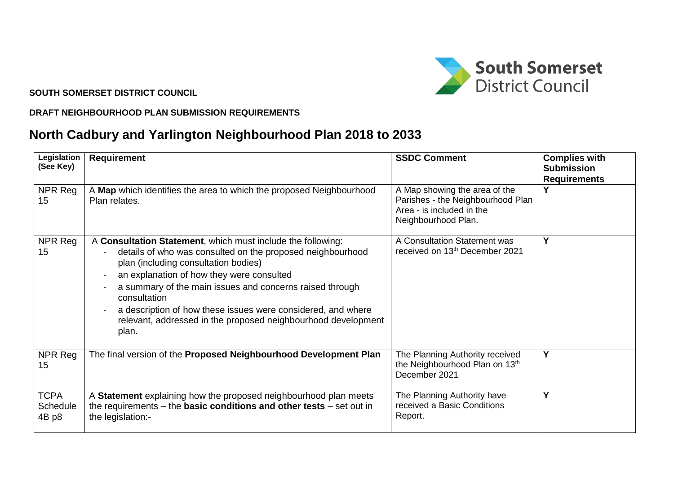

**SOUTH SOMERSET DISTRICT COUNCIL**

## **DRAFT NEIGHBOURHOOD PLAN SUBMISSION REQUIREMENTS**

## **North Cadbury and Yarlington Neighbourhood Plan 2018 to 2033**

| Legislation<br>(See Key)         | <b>Requirement</b>                                                                                                                                                                                                                                                                                                                                                                                                                   | <b>SSDC Comment</b>                                                                                                    | <b>Complies with</b><br><b>Submission</b><br><b>Requirements</b> |
|----------------------------------|--------------------------------------------------------------------------------------------------------------------------------------------------------------------------------------------------------------------------------------------------------------------------------------------------------------------------------------------------------------------------------------------------------------------------------------|------------------------------------------------------------------------------------------------------------------------|------------------------------------------------------------------|
| NPR Reg<br>15                    | A Map which identifies the area to which the proposed Neighbourhood<br>Plan relates.                                                                                                                                                                                                                                                                                                                                                 | A Map showing the area of the<br>Parishes - the Neighbourhood Plan<br>Area - is included in the<br>Neighbourhood Plan. | V                                                                |
| NPR Reg<br>15                    | A Consultation Statement, which must include the following:<br>details of who was consulted on the proposed neighbourhood<br>plan (including consultation bodies)<br>an explanation of how they were consulted<br>a summary of the main issues and concerns raised through<br>consultation<br>a description of how these issues were considered, and where<br>relevant, addressed in the proposed neighbourhood development<br>plan. | A Consultation Statement was<br>received on 13th December 2021                                                         | Υ                                                                |
| NPR Reg<br>15                    | The final version of the Proposed Neighbourhood Development Plan                                                                                                                                                                                                                                                                                                                                                                     | The Planning Authority received<br>the Neighbourhood Plan on 13th<br>December 2021                                     | Y                                                                |
| <b>TCPA</b><br>Schedule<br>4B p8 | A Statement explaining how the proposed neighbourhood plan meets<br>the requirements $-$ the <b>basic conditions and other tests</b> $-$ set out in<br>the legislation:-                                                                                                                                                                                                                                                             | The Planning Authority have<br>received a Basic Conditions<br>Report.                                                  | Y                                                                |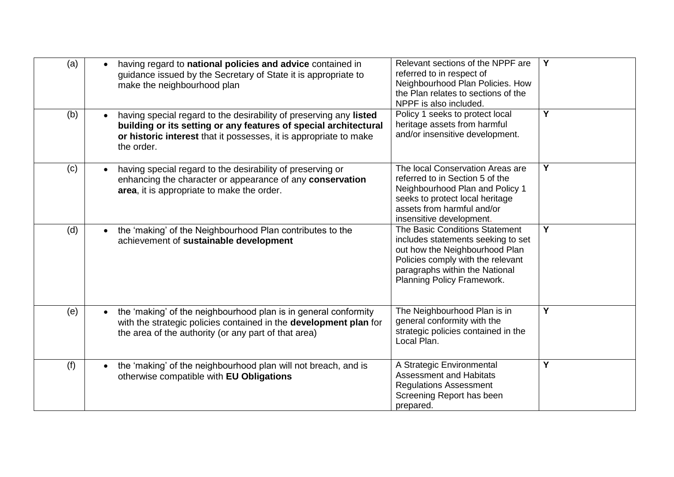| (a) | having regard to national policies and advice contained in<br>guidance issued by the Secretary of State it is appropriate to<br>make the neighbourhood plan                                                               | Relevant sections of the NPPF are<br>referred to in respect of<br>Neighbourhood Plan Policies. How<br>the Plan relates to sections of the<br>NPPF is also included.                                         | $\overline{Y}$ |
|-----|---------------------------------------------------------------------------------------------------------------------------------------------------------------------------------------------------------------------------|-------------------------------------------------------------------------------------------------------------------------------------------------------------------------------------------------------------|----------------|
| (b) | having special regard to the desirability of preserving any listed<br>building or its setting or any features of special architectural<br>or historic interest that it possesses, it is appropriate to make<br>the order. | Policy 1 seeks to protect local<br>heritage assets from harmful<br>and/or insensitive development.                                                                                                          | $\overline{Y}$ |
| (c) | having special regard to the desirability of preserving or<br>enhancing the character or appearance of any conservation<br>area, it is appropriate to make the order.                                                     | The local Conservation Areas are<br>referred to in Section 5 of the<br>Neighbourhood Plan and Policy 1<br>seeks to protect local heritage<br>assets from harmful and/or<br>insensitive development.         | Y              |
| (d) | the 'making' of the Neighbourhood Plan contributes to the<br>$\bullet$<br>achievement of sustainable development                                                                                                          | The Basic Conditions Statement<br>includes statements seeking to set<br>out how the Neighbourhood Plan<br>Policies comply with the relevant<br>paragraphs within the National<br>Planning Policy Framework. | Y              |
| (e) | the 'making' of the neighbourhood plan is in general conformity<br>with the strategic policies contained in the development plan for<br>the area of the authority (or any part of that area)                              | The Neighbourhood Plan is in<br>general conformity with the<br>strategic policies contained in the<br>Local Plan.                                                                                           | Y              |
| (f) | the 'making' of the neighbourhood plan will not breach, and is<br>otherwise compatible with EU Obligations                                                                                                                | A Strategic Environmental<br><b>Assessment and Habitats</b><br><b>Regulations Assessment</b><br>Screening Report has been<br>prepared.                                                                      | Y              |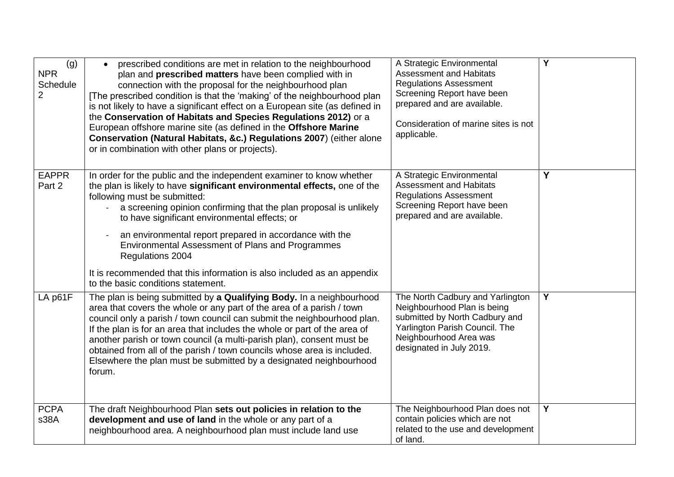| (g)<br><b>NPR</b><br>Schedule<br>$\overline{2}$ | prescribed conditions are met in relation to the neighbourhood<br>$\bullet$<br>plan and prescribed matters have been complied with in<br>connection with the proposal for the neighbourhood plan<br>[The prescribed condition is that the 'making' of the neighbourhood plan<br>is not likely to have a significant effect on a European site (as defined in<br>the Conservation of Habitats and Species Regulations 2012) or a<br>European offshore marine site (as defined in the Offshore Marine<br>Conservation (Natural Habitats, &c.) Regulations 2007) (either alone<br>or in combination with other plans or projects). | A Strategic Environmental<br><b>Assessment and Habitats</b><br><b>Regulations Assessment</b><br>Screening Report have been<br>prepared and are available.<br>Consideration of marine sites is not<br>applicable. | $\overline{\mathsf{Y}}$ |
|-------------------------------------------------|---------------------------------------------------------------------------------------------------------------------------------------------------------------------------------------------------------------------------------------------------------------------------------------------------------------------------------------------------------------------------------------------------------------------------------------------------------------------------------------------------------------------------------------------------------------------------------------------------------------------------------|------------------------------------------------------------------------------------------------------------------------------------------------------------------------------------------------------------------|-------------------------|
| <b>EAPPR</b><br>Part 2                          | In order for the public and the independent examiner to know whether<br>the plan is likely to have significant environmental effects, one of the<br>following must be submitted:<br>a screening opinion confirming that the plan proposal is unlikely<br>to have significant environmental effects; or<br>an environmental report prepared in accordance with the<br>Environmental Assessment of Plans and Programmes<br>Regulations 2004<br>It is recommended that this information is also included as an appendix<br>to the basic conditions statement.                                                                      | A Strategic Environmental<br><b>Assessment and Habitats</b><br><b>Regulations Assessment</b><br>Screening Report have been<br>prepared and are available.                                                        | Y                       |
| LA p61F                                         | The plan is being submitted by a Qualifying Body. In a neighbourhood<br>area that covers the whole or any part of the area of a parish / town<br>council only a parish / town council can submit the neighbourhood plan.<br>If the plan is for an area that includes the whole or part of the area of<br>another parish or town council (a multi-parish plan), consent must be<br>obtained from all of the parish / town councils whose area is included.<br>Elsewhere the plan must be submitted by a designated neighbourhood<br>forum.                                                                                       | The North Cadbury and Yarlington<br>Neighbourhood Plan is being<br>submitted by North Cadbury and<br>Yarlington Parish Council. The<br>Neighbourhood Area was<br>designated in July 2019.                        | $\overline{Y}$          |
| <b>PCPA</b><br>s38A                             | The draft Neighbourhood Plan sets out policies in relation to the<br>development and use of land in the whole or any part of a<br>neighbourhood area. A neighbourhood plan must include land use                                                                                                                                                                                                                                                                                                                                                                                                                                | The Neighbourhood Plan does not<br>contain policies which are not<br>related to the use and development<br>of land.                                                                                              | $\overline{Y}$          |